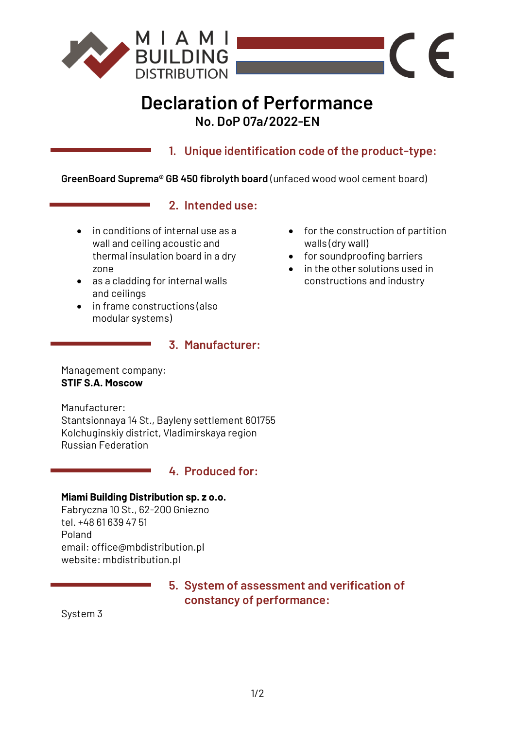

# **Declaration of Performance No. DoP 07a/2022-EN**

**1. Unique identification code of the product-type:**

**GreenBoard Suprema® GB 450 fibrolyth board** (unfaced wood wool cement board)

## **2. Intended use:**

- in conditions of internal use as a wall and ceiling acoustic and thermal insulation board in a dry zone
- as a cladding for internal walls and ceilings
- in frame constructions (also modular systems)

### **3. Manufacturer:**

Management company: **STIF S.A. Moscow**

Manufacturer: Stantsionnaya 14 St., Bayleny settlement 601755 Kolchuginskiy district, Vladimirskaya region Russian Federation

## **4. Produced for:**

### **Miami Building Distribution sp. z o.o.**

Fabryczna 10 St., 62-200 Gniezno tel. +48 61 639 47 51 Poland email: office@mbdistribution.pl website: mbdistribution.pl

> **5. System of assessment and verification of constancy of performance:**

System 3

• for the construction of partition walls (dry wall)

 $\epsilon$ 

 $\sqrt{2}$ 

- for soundproofing barriers
- in the other solutions used in constructions and industry